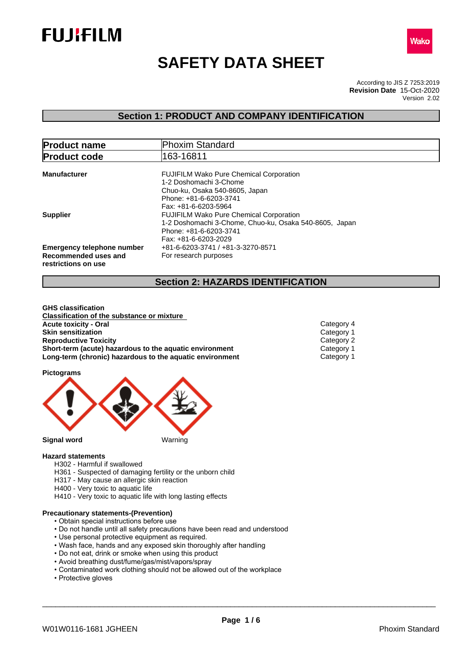



# **SAFETY DATA SHEET**

According to JIS Z 7253:2019 Version 2.02 **Revision Date** 15-Oct-2020

## **Section 1: PRODUCT AND COMPANY IDENTIFICATION**

| <b>Product name</b>                                                              | <b>Phoxim Standard</b>                                                                                                                                       |  |  |  |
|----------------------------------------------------------------------------------|--------------------------------------------------------------------------------------------------------------------------------------------------------------|--|--|--|
| <b>Product code</b>                                                              | 163-16811                                                                                                                                                    |  |  |  |
| <b>Manufacturer</b>                                                              | <b>FUJIFILM Wako Pure Chemical Corporation</b><br>1-2 Doshomachi 3-Chome<br>Chuo-ku, Osaka 540-8605, Japan<br>Phone: +81-6-6203-3741<br>Fax: +81-6-6203-5964 |  |  |  |
| <b>Supplier</b>                                                                  | <b>FUJIFILM Wako Pure Chemical Corporation</b><br>1-2 Doshomachi 3-Chome, Chuo-ku, Osaka 540-8605, Japan<br>Phone: +81-6-6203-3741<br>Fax: +81-6-6203-2029   |  |  |  |
| <b>Emergency telephone number</b><br>Recommended uses and<br>restrictions on use | +81-6-6203-3741 / +81-3-3270-8571<br>For research purposes                                                                                                   |  |  |  |

## **Section 2: HAZARDS IDENTIFICATION**

**GHS classification Classification of the substance or mixture Acute toxicity - Oral** Category 4 **Skin sensitization**<br> **Reproductive Toxicity**<br>
Category 2 Category 2 **Reproductive Toxicity**<br> **Short-term (acute) hazardous to the aquatic environment**<br>
Category 1 **Short-term (acute) hazardous to the aquatic environment Long-term (chronic) hazardous to the aquatic environment** Category 1

**Pictograms**



#### **Hazard statements**

- H302 Harmful if swallowed
- H361 Suspected of damaging fertility or the unborn child
- H317 May cause an allergic skin reaction
- H400 Very toxic to aquatic life
- H410 Very toxic to aquatic life with long lasting effects

## **Precautionary statements-(Prevention)**

- Obtain special instructions before use
- Do not handle until all safety precautions have been read and understood
- Use personal protective equipment as required.
- Wash face, hands and any exposed skin thoroughly after handling
- Do not eat, drink or smoke when using this product
- Avoid breathing dust/fume/gas/mist/vapors/spray
- Contaminated work clothing should not be allowed out of the workplace
- Protective gloves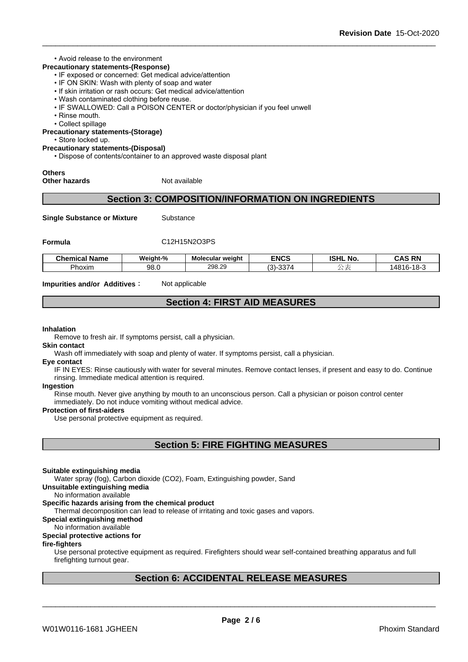## • Avoid release to the environment

## **Precautionary statements-(Response)**

- IF exposed or concerned: Get medical advice/attention
- IF ON SKIN: Wash with plenty of soap and water
- If skin irritation or rash occurs: Get medical advice/attention
- Wash contaminated clothing before reuse.
- IF SWALLOWED: Call a POISON CENTER or doctor/physician if you feel unwell
- Rinse mouth.
- Collect spillage

**Precautionary statements-(Storage)**

• Store locked up.

## **Precautionary statements-(Disposal)**

• Dispose of contents/container to an approved waste disposal plant

# **Others**

**Other hazards** Not available

## **Section 3: COMPOSITION/INFORMATION ON INGREDIENTS**

**Single Substance or Mixture** Substance

## **Formula** C12H15N2O3PS

| - -<br>−.<br>Chemical<br>' Name | Weight-% | Molecular weight | <b>ENCS</b>            | <b>ISHL</b><br>$\sim$ $\sim$<br>. NO | <b>CAS RN</b><br>una<br>-181                 |
|---------------------------------|----------|------------------|------------------------|--------------------------------------|----------------------------------------------|
| Phoxim                          | 98.0     | 298.29           | $\sim$<br>$(3)-$<br>ാാ |                                      | 10 <sup>2</sup><br>1481 <sup>c</sup><br>10-J |

**Impurities and/or Additives:** Not applicable

## **Section 4: FIRST AID MEASURES**

#### **Inhalation**

Remove to fresh air. If symptoms persist, call a physician.

#### **Skin contact**

Wash off immediately with soap and plenty of water. If symptoms persist, calla physician.

#### **Eye contact**

IF IN EYES: Rinse cautiously with water for several minutes. Remove contact lenses, if present and easy to do. Continue rinsing. Immediate medical attention is required.

#### **Ingestion**

Rinse mouth. Never give anything by mouth to an unconscious person. Call a physician or poison control center immediately. Do not induce vomiting without medical advice.

#### **Protection of first-aiders**

Use personal protective equipment as required.

## **Section 5: FIRE FIGHTING MEASURES**

#### **Suitable extinguishing media**

Water spray (fog), Carbon dioxide (CO2), Foam, Extinguishing powder, Sand

**Unsuitable extinguishing media**

No information available

## **Specific hazards arising from the chemical product**

Thermal decomposition can lead to release of irritating and toxic gases and vapors.

## **Special extinguishing method**

## No information available

## **Special protective actions for**

## **fire-fighters**

Use personal protective equipment as required.Firefighters should wear self-contained breathing apparatus and full firefighting turnout gear.

## **Section 6: ACCIDENTAL RELEASE MEASURES**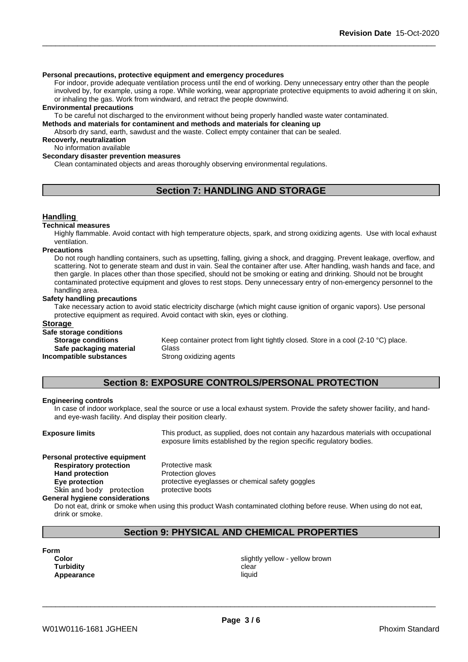## **Personal precautions, protective equipment and emergency procedures**

For indoor, provide adequate ventilation process until the end of working. Deny unnecessary entry other than the people involved by, for example, using a rope. While working, wear appropriate protective equipments to avoid adhering it on skin, or inhaling the gas. Work from windward, and retract the people downwind.

#### **Environmental precautions**

To be careful not discharged to the environment without being properly handled waste water contaminated.

## **Methods and materials for contaminent and methods and materials for cleaning up**

Absorb dry sand, earth, sawdust and the waste. Collect empty container that can be sealed.

**Recoverly, neutralization** No information available

#### **Secondary disaster prevention measures**

Clean contaminated objects and areas thoroughly observing environmental regulations.

## **Section 7: HANDLING AND STORAGE**

## **Handling**

#### **Technical measures**

Highly flammable. Avoid contact with high temperature objects, spark, and strong oxidizing agents. Use with local exhaust ventilation.

#### **Precautions**

Do not rough handling containers, such as upsetting, falling, giving a shock, and dragging. Prevent leakage, overflow, and scattering. Not to generate steam and dust in vain. Seal the container after use. After handling, wash hands and face, and then gargle. In places other than those specified, should not be smoking or eating and drinking. Should not be brought contaminated protective equipment and gloves to rest stops. Deny unnecessary entry of non-emergency personnel to the handling area.

## **Safety handling precautions**

Take necessary action to avoid static electricity discharge (which might cause ignition of organic vapors). Use personal protective equipment as required.Avoid contact with skin, eyes or clothing.

## **Storage**

# **Safe storage conditions**

**Safe packaging material** Glass **Incompatible substances** Strong oxidizing agents

Keep container protect from light tightly closed. Store in a cool (2-10 °C) place.

## **Section 8: EXPOSURE CONTROLS/PERSONAL PROTECTION**

#### **Engineering controls**

In case of indoor workplace, seal the source or use a local exhaust system. Provide the safety shower facility, and handand eye-wash facility. And display their position clearly.

**Exposure limits** This product, as supplied, does not contain any hazardous materials with occupational exposure limits established by the region specific regulatory bodies.

#### **Personal protective equipment Respiratory protection** Protective mask

**Hand protection** Protection gloves **Eye protection Eye protective eyeglasses or chemical safety goggles** Skin and body protection protective boots

#### **General hygiene considerations**

Do not eat, drink or smoke when using this product Wash contaminated clothing before reuse. When using do not eat, drink or smoke.

## **Section 9: PHYSICAL AND CHEMICAL PROPERTIES**

**Form**

**Turbidity Clear Appearance** liquid

**Color** slightly yellow - yellow brown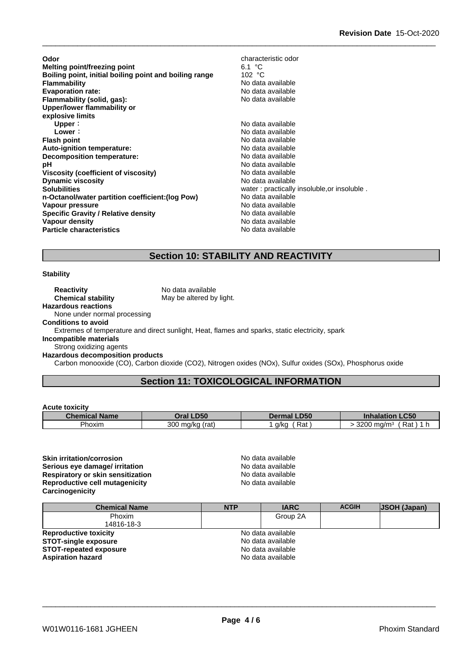| Odor                                                   | characteristic odor                         |
|--------------------------------------------------------|---------------------------------------------|
| Melting point/freezing point                           | 6.1 °C                                      |
| Boiling point, initial boiling point and boiling range | 102 $\degree$ C                             |
| <b>Flammability</b>                                    | No data available                           |
| <b>Evaporation rate:</b>                               | No data available                           |
| Flammability (solid, gas):                             | No data available                           |
| Upper/lower flammability or<br>explosive limits        |                                             |
| Upper:                                                 | No data available                           |
| Lower:                                                 | No data available                           |
| <b>Flash point</b>                                     | No data available                           |
| Auto-ignition temperature:                             | No data available                           |
| Decomposition temperature:                             | No data available                           |
| рH                                                     | No data available                           |
| Viscosity (coefficient of viscosity)                   | No data available                           |
| <b>Dynamic viscosity</b>                               | No data available                           |
| <b>Solubilities</b>                                    | water: practically insoluble, or insoluble. |
| n-Octanol/water partition coefficient: (log Pow)       | No data available                           |
| Vapour pressure                                        | No data available                           |
| <b>Specific Gravity / Relative density</b>             | No data available                           |
| Vapour density                                         | No data available                           |
| <b>Particle characteristics</b>                        | No data available                           |

## **Section 10: STABILITY AND REACTIVITY**

## **Stability**

**Reactivity** No data available<br> **Chemical stability** May be altered by May be altered by light. **Hazardous reactions** None under normal processing **Conditions to avoid**

Extremes of temperature and direct sunlight, Heat, flames and sparks, static electricity, spark

**Incompatible materials**

Strong oxidizing agents **Hazardous decomposition products**

Carbon monooxide (CO), Carbon dioxide (CO2), Nitrogen oxides (NOx), Sulfur oxides (SOx), Phosphorus oxide

## **Section 11: TOXICOLOGICAL INFORMATION**

## **Acute toxicity**

| <b>Chemical Name</b> | Oral LD50             | <b>Dermal LD50</b> | C <sub>5</sub><br><b>Inhalation</b><br>-can |
|----------------------|-----------------------|--------------------|---------------------------------------------|
| -<br>Phoxim          | 300<br>ma/ka<br>(rat. | Rat<br>a/ka        | -<br>3200<br>Rat<br>ma/mª<br>-              |

**Skin irritation/corrosion**<br> **Serious eve damage/ irritation**<br> **Serious eve damage/ irritation Serious eye damage/ irritation Respiratory or skin sensitization**<br> **Reproductive cell mutagenicity**<br>
No data available<br>
No data available **Reproductive cell mutagenicity Carcinogenicity**

| <b>Chemical Name</b>          | <b>NTP</b> | <b>IARC</b>       | <b>ACGIH</b> | <b>JSOH (Japan)</b> |  |
|-------------------------------|------------|-------------------|--------------|---------------------|--|
| <b>Phoxim</b>                 |            | Group 2A          |              |                     |  |
| 14816-18-3                    |            |                   |              |                     |  |
| <b>Reproductive toxicity</b>  |            | No data available |              |                     |  |
| <b>STOT-single exposure</b>   |            | No data available |              |                     |  |
| <b>STOT-repeated exposure</b> |            | No data available |              |                     |  |
| <b>Aspiration hazard</b>      |            | No data available |              |                     |  |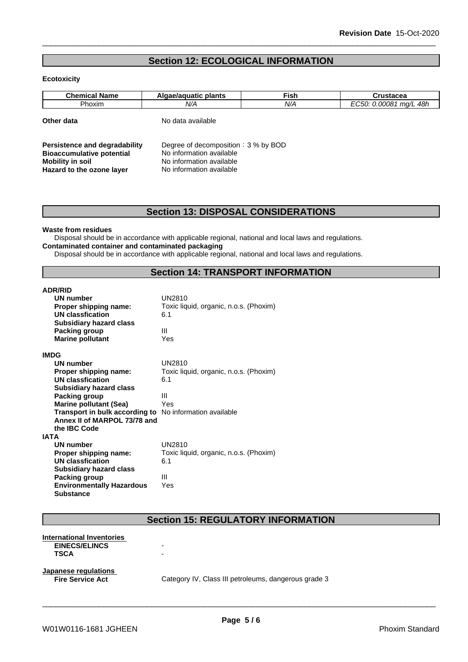## **Section 12: ECOLOGICAL INFORMATION**

## **Ecotoxicity**

| <b>Chemical Name</b>                 | Algae/aguatic plants                  | <b>Fish</b>              | Crustacea              |  |
|--------------------------------------|---------------------------------------|--------------------------|------------------------|--|
| <b>Phoxim</b>                        | N/A                                   | N/A                      | EC50: 0.00081 mg/L 48h |  |
| Other data                           | No data available                     |                          |                        |  |
| <b>Persistence and degradability</b> | Degree of decomposition : $3%$ by BOD |                          |                        |  |
| <b>Bioaccumulative potential</b>     | No information available              |                          |                        |  |
| <b>Mobility in soil</b>              |                                       | No information available |                        |  |
| Hazard to the ozone layer            | No information available              |                          |                        |  |

## **Section 13: DISPOSAL CONSIDERATIONS**

## **Waste from residues**

Disposal should be in accordance with applicable regional, national and local laws and regulations. **Contaminated container and contaminated packaging**

Disposal should be in accordance with applicable regional, national and local laws and regulations.

## **Section 14: TRANSPORT INFORMATION**

| <b>ADR/RID</b>                                                 |                                        |
|----------------------------------------------------------------|----------------------------------------|
| UN number                                                      | <b>UN2810</b>                          |
| Proper shipping name:                                          | Toxic liquid, organic, n.o.s. (Phoxim) |
| <b>UN classfication</b>                                        | 6.1                                    |
| <b>Subsidiary hazard class</b>                                 |                                        |
| Packing group                                                  | Ш                                      |
| <b>Marine pollutant</b>                                        | Yes                                    |
| <b>IMDG</b>                                                    |                                        |
| <b>UN number</b>                                               | UN2810                                 |
| Proper shipping name:                                          | Toxic liquid, organic, n.o.s. (Phoxim) |
| <b>UN classfication</b>                                        | 6.1                                    |
| <b>Subsidiary hazard class</b>                                 |                                        |
| Packing group                                                  | Ш                                      |
| <b>Marine pollutant (Sea)</b>                                  | Yes                                    |
| <b>Transport in bulk according to</b> No information available |                                        |
| Annex II of MARPOL 73/78 and                                   |                                        |
| the IBC Code                                                   |                                        |
| <b>IATA</b>                                                    |                                        |
| UN number                                                      | <b>UN2810</b>                          |
| Proper shipping name:                                          | Toxic liquid, organic, n.o.s. (Phoxim) |
| <b>UN classfication</b>                                        | 6.1                                    |
| <b>Subsidiary hazard class</b>                                 |                                        |
| Packing group                                                  | Ш                                      |
| <b>Environmentally Hazardous</b><br><b>Substance</b>           | Yes                                    |

## **Section 15: REGULATORY INFORMATION**

| <b>International Inventories</b><br><b>EINECS/ELINCS</b><br><b>TSCA</b> | -<br>-                                               |
|-------------------------------------------------------------------------|------------------------------------------------------|
| Japanese regulations<br><b>Fire Service Act</b>                         | Category IV, Class III petroleums, dangerous grade 3 |